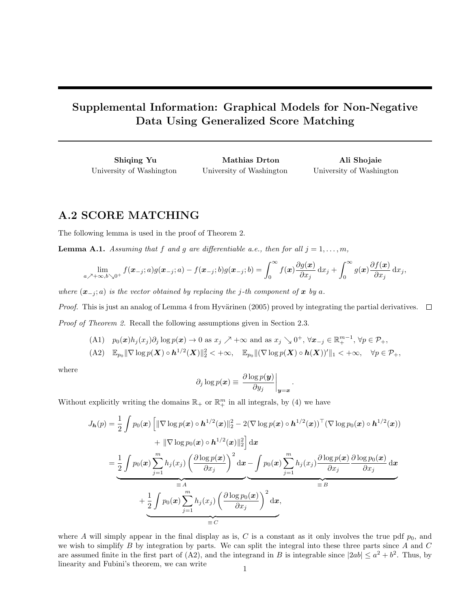## Supplemental Information: Graphical Models for Non-Negative Data Using Generalized Score Matching

Shiqing Yu University of Washington

Mathias Drton University of Washington

Ali Shojaie University of Washington

## A.2 SCORE MATCHING

The following lemma is used in the proof of Theorem 2.

**Lemma A.1.** Assuming that f and g are differentiable a.e., then for all  $j = 1, \ldots, m$ ,

$$
\lim_{a \nearrow +\infty, b \searrow 0^+} f(\boldsymbol{x}_{-j}; a) g(\boldsymbol{x}_{-j}; a) - f(\boldsymbol{x}_{-j}; b) g(\boldsymbol{x}_{-j}; b) = \int_0^\infty f(\boldsymbol{x}) \frac{\partial g(\boldsymbol{x})}{\partial x_j} dx_j + \int_0^\infty g(\boldsymbol{x}) \frac{\partial f(\boldsymbol{x})}{\partial x_j} dx_j,
$$

where  $(x_{-i}; a)$  is the vector obtained by replacing the j-th component of x by a.

Proof. This is just an analog of Lemma 4 from Hyvärinen (2005) proved by integrating the partial derivatives.  $\Box$ Proof of Theorem 2. Recall the following assumptions given in Section 2.3.

- (A1)  $p_0(x)h_j(x_j)\partial_j \log p(x) \to 0$  as  $x_j \nearrow +\infty$  and as  $x_j \searrow 0^+, \forall x_{-j} \in \mathbb{R}^{m-1}_+, \forall p \in \mathcal{P}_+,$
- $( \text{A2}) \quad \mathbb{E}_{p_0} \|\nabla \log p(\boldsymbol{X}) \circ \boldsymbol{h}^{1/2}(\boldsymbol{X}) \|_2^2 < +\infty, \quad \mathbb{E}_{p_0} \|(\nabla \log p(\boldsymbol{X}) \circ \boldsymbol{h}(\boldsymbol{X}))' \|_1 < +\infty, \quad \forall p \in \mathcal{P}_+,$

where

$$
\partial_j \log p(\boldsymbol{x}) \equiv \left. \frac{\partial \log p(\boldsymbol{y})}{\partial y_j} \right|_{\boldsymbol{y} = \boldsymbol{x}}
$$

.

Without explicitly writing the domains  $\mathbb{R}_+$  or  $\mathbb{R}^m_+$  in all integrals, by (4) we have

$$
J_{\mathbf{h}}(p) = \frac{1}{2} \int p_0(\mathbf{x}) \left[ \|\nabla \log p(\mathbf{x}) \circ \mathbf{h}^{1/2}(\mathbf{x}) \|_2^2 - 2(\nabla \log p(\mathbf{x}) \circ \mathbf{h}^{1/2}(\mathbf{x}))^\top (\nabla \log p_0(\mathbf{x}) \circ \mathbf{h}^{1/2}(\mathbf{x})) \right] + \|\nabla \log p_0(\mathbf{x}) \circ \mathbf{h}^{1/2}(\mathbf{x}) \|_2^2 \right] d\mathbf{x}
$$
  
= 
$$
\frac{1}{2} \int p_0(\mathbf{x}) \sum_{j=1}^m h_j(x_j) \left( \frac{\partial \log p(\mathbf{x})}{\partial x_j} \right)^2 d\mathbf{x} - \int p_0(\mathbf{x}) \sum_{j=1}^m h_j(x_j) \frac{\partial \log p(\mathbf{x})}{\partial x_j} \frac{\partial \log p_0(\mathbf{x})}{\partial x_j} d\mathbf{x}
$$
  
= 
$$
B
$$
  
+ 
$$
\frac{1}{2} \int p_0(\mathbf{x}) \sum_{j=1}^m h_j(x_j) \left( \frac{\partial \log p_0(\mathbf{x})}{\partial x_j} \right)^2 d\mathbf{x},
$$
  
= 
$$
C
$$

where A will simply appear in the final display as is, C is a constant as it only involves the true pdf  $p_0$ , and we wish to simplify  $B$  by integration by parts. We can split the integral into these three parts since  $A$  and  $C$ are assumed finite in the first part of (A2), and the integrand in B is integrable since  $|2ab| \leq a^2 + b^2$ . Thus, by linearity and Fubini's theorem, we can write  $1$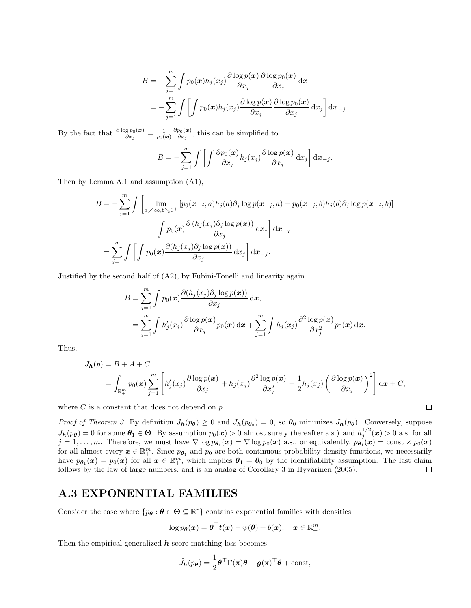$$
B = -\sum_{j=1}^{m} \int p_0(\boldsymbol{x}) h_j(x_j) \frac{\partial \log p(\boldsymbol{x})}{\partial x_j} \frac{\partial \log p_0(\boldsymbol{x})}{\partial x_j} d\boldsymbol{x}
$$
  
= 
$$
-\sum_{j=1}^{m} \int \left[ \int p_0(\boldsymbol{x}) h_j(x_j) \frac{\partial \log p(\boldsymbol{x})}{\partial x_j} \frac{\partial \log p_0(\boldsymbol{x})}{\partial x_j} d x_j \right] d\boldsymbol{x}_{-j}.
$$

By the fact that  $\frac{\partial \log p_0(\boldsymbol{x})}{\partial x_j} = \frac{1}{p_0(\boldsymbol{x})}$  $\partial p_0(\boldsymbol{x})$  $\frac{p_0(x)}{\partial x_j}$ , this can be simplified to

$$
B = -\sum_{j=1}^{m} \int \left[ \int \frac{\partial p_0(\boldsymbol{x})}{\partial x_j} h_j(x_j) \frac{\partial \log p(\boldsymbol{x})}{\partial x_j} \, \mathrm{d}x_j \right] \mathrm{d}\boldsymbol{x}_{-j}.
$$

Then by Lemma A.1 and assumption (A1),

$$
B = -\sum_{j=1}^{m} \int \left[ \lim_{a \nearrow \infty, b \searrow 0^{+}} \left[ p_{0}(\boldsymbol{x}_{-j}; a) h_{j}(a) \partial_{j} \log p(\boldsymbol{x}_{-j}, a) - p_{0}(\boldsymbol{x}_{-j}; b) h_{j}(b) \partial_{j} \log p(\boldsymbol{x}_{-j}, b) \right] \right]
$$

$$
- \int p_{0}(\boldsymbol{x}) \frac{\partial (h_{j}(\boldsymbol{x}_{j}) \partial_{j} \log p(\boldsymbol{x}))}{\partial x_{j}} d x_{j} \right] d \boldsymbol{x}_{-j}
$$

$$
= \sum_{j=1}^{m} \int \left[ \int p_{0}(\boldsymbol{x}) \frac{\partial (h_{j}(\boldsymbol{x}_{j}) \partial_{j} \log p(\boldsymbol{x}))}{\partial x_{j}} d x_{j} \right] d \boldsymbol{x}_{-j}.
$$

Justified by the second half of (A2), by Fubini-Tonelli and linearity again

$$
B = \sum_{j=1}^{m} \int p_0(\mathbf{x}) \frac{\partial (h_j(x_j)\partial_j \log p(\mathbf{x}))}{\partial x_j} d\mathbf{x},
$$
  
= 
$$
\sum_{j=1}^{m} \int h'_j(x_j) \frac{\partial \log p(\mathbf{x})}{\partial x_j} p_0(\mathbf{x}) d\mathbf{x} + \sum_{j=1}^{m} \int h_j(x_j) \frac{\partial^2 \log p(\mathbf{x})}{\partial x_j^2} p_0(\mathbf{x}) d\mathbf{x}.
$$

Thus,

$$
J_{\mathbf{h}}(p) = B + A + C
$$
  
=  $\int_{\mathbb{R}_{+}^{m}} p_{0}(\mathbf{x}) \sum_{j=1}^{m} \left[ h'_{j}(x_{j}) \frac{\partial \log p(\mathbf{x})}{\partial x_{j}} + h_{j}(x_{j}) \frac{\partial^{2} \log p(\mathbf{x})}{\partial x_{j}^{2}} + \frac{1}{2} h_{j}(x_{j}) \left( \frac{\partial \log p(\mathbf{x})}{\partial x_{j}} \right)^{2} \right] d\mathbf{x} + C,$ 

 $\Box$ 

where  $C$  is a constant that does not depend on  $p$ .

*Proof of Theorem 3.* By definition  $J_h(p_{\theta}) \geq 0$  and  $J_h(p_{\theta_0}) = 0$ , so  $\theta_0$  minimizes  $J_h(p_{\theta})$ . Conversely, suppose  $J_h(p_{\theta}) = 0$  for some  $\theta_1 \in \Theta$ . By assumption  $p_0(x) > 0$  almost surely (hereafter a.s.) and  $h_j^{1/2}(x) > 0$  a.s. for all  $j = 1, \ldots, m$ . Therefore, we must have  $\nabla \log p_{\theta_1}(x) = \nabla \log p_0(x)$  a.s., or equivalently,  $p_{\theta_1}(x) = \text{const} \times p_0(x)$ for all almost every  $x \in \mathbb{R}^m_+$ . Since  $p_{\theta_1}$  and  $p_0$  are both continuous probability density functions, we necessarily have  $p_{\theta_1}(x) = p_0(x)$  for all  $x \in \mathbb{R}^m_+$ , which implies  $\theta_1 = \theta_0$  by the identifiability assumption. The last claim follows by the law of large numbers, and is an analog of Corollary  $3$  in Hyvärinen (2005).  $\Box$ 

## A.3 EXPONENTIAL FAMILIES

Consider the case where  $\{p_{\theta} : \theta \in \Theta \subseteq \mathbb{R}^r\}$  contains exponential families with densities

$$
\log p_{\boldsymbol{\theta}}(\boldsymbol{x}) = \boldsymbol{\theta}^\top \boldsymbol{t}(\boldsymbol{x}) - \psi(\boldsymbol{\theta}) + b(\boldsymbol{x}), \quad \boldsymbol{x} \in \mathbb{R}^m_+.
$$

Then the empirical generalized  $h$ -score matching loss becomes

$$
\hat{J}_{h}(p_{\theta}) = \frac{1}{2} \theta^{\top} \Gamma(\mathbf{x}) \theta - g(\mathbf{x})^{\top} \theta + \text{const},
$$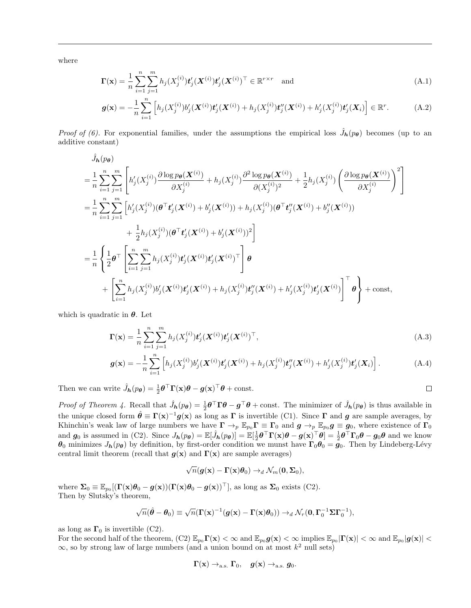where

$$
\mathbf{\Gamma}(\mathbf{x}) = \frac{1}{n} \sum_{i=1}^{n} \sum_{j=1}^{m} h_j(X_j^{(i)}) \mathbf{t}'_j(\mathbf{X}^{(i)}) \mathbf{t}'_j(\mathbf{X}^{(i)})^\top \in \mathbb{R}^{r \times r} \text{ and } (A.1)
$$

$$
\boldsymbol{g}(\mathbf{x}) = -\frac{1}{n} \sum_{i=1}^{n} \left[ h_j(X_j^{(i)}) b_j'(\boldsymbol{X}^{(i)}) \boldsymbol{t}_j'(\boldsymbol{X}^{(i)}) + h_j(X_j^{(i)}) \boldsymbol{t}_j''(\boldsymbol{X}^{(i)}) + h_j'(X_j^{(i)}) \boldsymbol{t}_j'(\boldsymbol{X}_i) \right] \in \mathbb{R}^r.
$$
 (A.2)

Proof of (6). For exponential families, under the assumptions the empirical loss  $\hat{J}_{h}(p_{\theta})$  becomes (up to an additive constant)

$$
\hat{J}_{\mathbf{h}}(p_{\theta})
$$
\n
$$
= \frac{1}{n} \sum_{i=1}^{n} \sum_{j=1}^{m} \left[ h'_{j}(X_{j}^{(i)}) \frac{\partial \log p_{\theta}(X^{(i)})}{\partial X_{j}^{(i)}} + h_{j}(X_{j}^{(i)}) \frac{\partial^{2} \log p_{\theta}(X^{(i)})}{\partial (X_{j}^{(i)})^{2}} + \frac{1}{2} h_{j}(X_{j}^{(i)}) \left( \frac{\partial \log p_{\theta}(X^{(i)})}{\partial X_{j}^{(i)}} \right)^{2} \right]
$$
\n
$$
= \frac{1}{n} \sum_{i=1}^{n} \sum_{j=1}^{m} \left[ h'_{j}(X_{j}^{(i)}) (\theta^{T} t'_{j}(X^{(i)}) + b'_{j}(X^{(i)})) + h_{j}(X_{j}^{(i)}) (\theta^{T} t'_{j}(X^{(i)}) + b''_{j}(X^{(i)}))
$$
\n
$$
+ \frac{1}{2} h_{j}(X_{j}^{(i)}) (\theta^{T} t'_{j}(X^{(i)}) + b'_{j}(X^{(i)}))^{2} \right]
$$
\n
$$
= \frac{1}{n} \left\{ \frac{1}{2} \theta^{T} \left[ \sum_{i=1}^{n} \sum_{j=1}^{m} h_{j}(X_{j}^{(i)}) t'_{j}(X^{(i)}) t'_{j}(X^{(i)})^{T} \right] \theta
$$
\n
$$
+ \left[ \sum_{i=1}^{n} h_{j}(X_{j}^{(i)}) b'_{j}(X^{(i)}) t'_{j}(X^{(i)}) + h_{j}(X_{j}^{(i)}) t''_{j}(X^{(i)}) + h'_{j}(X_{j}^{(i)}) t'_{j}(X^{(i)}) \right]^{T} \theta \right\} + \text{const},
$$

which is quadratic in  $\theta$ . Let

$$
\Gamma(\mathbf{x}) = \frac{1}{n} \sum_{i=1}^{n} \sum_{j=1}^{m} h_j(X_j^{(i)}) t_j'(\mathbf{X}^{(i)}) t_j'(\mathbf{X}^{(i)})^\top,
$$
\n(A.3)

$$
\boldsymbol{g}(\mathbf{x}) = -\frac{1}{n} \sum_{i=1}^{n} \left[ h_j(X_j^{(i)}) b_j'(\boldsymbol{X}^{(i)}) \boldsymbol{t}_j'(\boldsymbol{X}^{(i)}) + h_j(X_j^{(i)}) \boldsymbol{t}_j''(\boldsymbol{X}^{(i)}) + h_j'(X_j^{(i)}) \boldsymbol{t}_j'(\boldsymbol{X}_i) \right]. \tag{A.4}
$$

Then we can write  $\hat{J}_h(p_{\theta}) = \frac{1}{2} \theta^{\top} \Gamma(\mathbf{x}) \theta - g(\mathbf{x})^{\top} \theta + \text{const.}$ 

*Proof of Theorem 4.* Recall that 
$$
\hat{J}_{\mathbf{h}}(p_{\theta}) = \frac{1}{2}\theta^{\top}\Gamma\theta - g^{\top}\theta + \text{const.}
$$
 The minimizer of  $\hat{J}_{\mathbf{h}}(p_{\theta})$  is thus available in  
the unique closed form  $\hat{\theta} \equiv \Gamma(\mathbf{x})^{-1}g(\mathbf{x})$  as long as  $\Gamma$  is invertible (C1). Since  $\Gamma$  and  $g$  are sample averages, by  
Khinchin's weak law of large numbers we have  $\Gamma \to_p \mathbb{E}_{p_0}\Gamma \equiv \Gamma_0$  and  $g \to_p \mathbb{E}_{p_0}g \equiv g_0$ , where existence of  $\Gamma_0$   
and  $g_0$  is assumed in (C2). Since  $J_{\mathbf{h}}(p_{\theta}) = \mathbb{E}[\hat{J}_{\mathbf{h}}(p_{\theta})] = \mathbb{E}[\frac{1}{2}\theta^{\top}\Gamma(\mathbf{x})\theta - g(\mathbf{x})^{\top}\theta] = \frac{1}{2}\theta^{\top}\Gamma_0\theta - g_0\theta$  and we know  
 $\theta_0$  minimizes  $J_{\mathbf{h}}(p_{\theta})$  by definition, by first-order condition we must have  $\Gamma_0\theta_0 = g_0$ . Then by Lindeberg-Lévy  
central limit theorem (recall that  $g(\mathbf{x})$  and  $\Gamma(\mathbf{x})$  are sample averages)

$$
\sqrt{n}(\boldsymbol{g}(\mathbf{x}) - \boldsymbol{\Gamma}(\mathbf{x})\boldsymbol{\theta}_0) \rightarrow_d \mathcal{N}_m(\mathbf{0}, \boldsymbol{\Sigma}_0),
$$

where  $\Sigma_0 \equiv \mathbb{E}_{p_0}[(\Gamma(\mathbf{x})\theta_0 - g(\mathbf{x}))(\Gamma(\mathbf{x})\theta_0 - g(\mathbf{x}))^\top]$ , as long as  $\Sigma_0$  exists (C2). Then by Slutsky's theorem,

$$
\sqrt{n}(\hat{\boldsymbol{\theta}} - \boldsymbol{\theta}_0) \equiv \sqrt{n}(\boldsymbol{\Gamma}(\mathbf{x})^{-1}(\boldsymbol{g}(\mathbf{x}) - \boldsymbol{\Gamma}(\mathbf{x})\boldsymbol{\theta}_0)) \rightarrow_d \mathcal{N}_r(\mathbf{0}, \boldsymbol{\Gamma}_0^{-1} \boldsymbol{\Sigma} \boldsymbol{\Gamma}_0^{-1}),
$$

as long as  $\Gamma_0$  is invertible (C2).

For the second half of the theorem,  $(C2) \ \mathbb{E}_{p_0} \Gamma(x) < \infty$  and  $\mathbb{E}_{p_0} g(x) < \infty$  implies  $\mathbb{E}_{p_0} |\Gamma(x)| < \infty$  and  $\mathbb{E}_{p_0} |g(x)| <$  $\infty$ , so by strong law of large numbers (and a union bound on at most  $k^2$  null sets)

$$
\Gamma(\mathbf{x})\rightarrow_{\text{a.s.}}\Gamma_0,\quad \boldsymbol{g}(\mathbf{x})\rightarrow_{\text{a.s.}}\boldsymbol{g}_0.
$$

$$
\Box
$$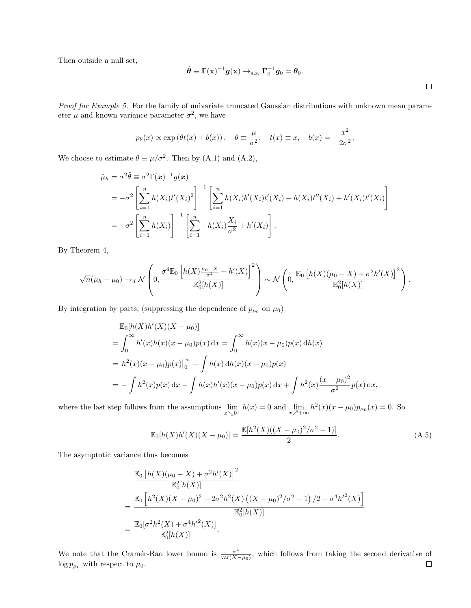Then outside a null set,

$$
\hat{\boldsymbol{\theta}} \equiv \boldsymbol{\Gamma}(\mathbf{x})^{-1}\boldsymbol{g}(\mathbf{x}) \rightarrow_{\text{a.s.}} \boldsymbol{\Gamma}_0^{-1}\boldsymbol{g}_0 = \boldsymbol{\theta}_0.
$$

Proof for Example 5. For the family of univariate truncated Gaussian distributions with unknown mean parameter  $\mu$  and known variance parameter  $\sigma^2$ , we have

$$
p_{\theta}(x) \propto \exp(\theta t(x) + b(x)), \quad \theta \equiv \frac{\mu}{\sigma^2}, \quad t(x) \equiv x, \quad b(x) = -\frac{x^2}{2\sigma^2}.
$$

We choose to estimate  $\theta \equiv \mu/\sigma^2$ . Then by (A.1) and (A.2),

$$
\hat{\mu}_h = \sigma^2 \hat{\theta} \equiv \sigma^2 \Gamma(\mathbf{x})^{-1} g(\mathbf{x})
$$
\n
$$
= -\sigma^2 \left[ \sum_{i=1}^n h(X_i) t'(X_i)^2 \right]^{-1} \left[ \sum_{i=1}^n h(X_i) b'(X_i) t'(X_i) + h(X_i) t''(X_i) + h'(X_i) t'(X_i) \right]
$$
\n
$$
= -\sigma^2 \left[ \sum_{i=1}^n h(X_i) \right]^{-1} \left[ \sum_{i=1}^n -h(X_i) \frac{X_i}{\sigma^2} + h'(X_i) \right].
$$

By Theorem 4,

$$
\sqrt{n}(\hat{\mu}_h - \mu_0) \to_d \mathcal{N}\left(0, \frac{\sigma^4 \mathbb{E}_0\left[h(X)\frac{\mu_0 - X}{\sigma^2} + h'(X)\right]^2}{\mathbb{E}_0^2[h(X)]}\right) \sim \mathcal{N}\left(0, \frac{\mathbb{E}_0\left[h(X)(\mu_0 - X) + \sigma^2 h'(X)\right]^2}{\mathbb{E}_0^2[h(X)]}\right).
$$

By integration by parts, (suppressing the dependence of  $p_{\mu_0}$  on  $\mu_0$ )

$$
\mathbb{E}_0[h(X)h'(X)(X - \mu_0)]
$$
  
=  $\int_0^\infty h'(x)h(x)(x - \mu_0)p(x) dx = \int_0^\infty h(x)(x - \mu_0)p(x) dh(x)$   
=  $h^2(x)(x - \mu_0)p(x)|_0^\infty - \int h(x) dh(x)(x - \mu_0)p(x)$   
=  $-\int h^2(x)p(x) dx - \int h(x)h'(x)(x - \mu_0)p(x) dx + \int h^2(x) \frac{(x - \mu_0)^2}{\sigma^2} p(x) dx,$ 

where the last step follows from the assumptions  $\lim_{x\searrow 0^+} h(x) = 0$  and  $\lim_{x\nearrow +\infty} h^2(x)(x - \mu_0)p_{\mu_0}(x) = 0$ . So

$$
\mathbb{E}_0[h(X)h'(X)(X - \mu_0)] = \frac{\mathbb{E}[h^2(X)((X - \mu_0)^2/\sigma^2 - 1)]}{2}.
$$
\n(A.5)

The asymptotic variance thus becomes

$$
\frac{\mathbb{E}_0 \left[ h(X)(\mu_0 - X) + \sigma^2 h'(X) \right]^2}{\mathbb{E}_0^2 [h(X)]}
$$
\n
$$
= \frac{\mathbb{E}_0 \left[ h^2(X)(X - \mu_0)^2 - 2\sigma^2 h^2(X) \left( (X - \mu_0)^2 / \sigma^2 - 1 \right) / 2 + \sigma^4 h'^2(X) \right]}{\mathbb{E}_0^2 [h(X)]}
$$
\n
$$
= \frac{\mathbb{E}_0[\sigma^2 h^2(X) + \sigma^4 h'^2(X)]}{\mathbb{E}_0^2 [h(X)]}.
$$

We note that the Cramér-Rao lower bound is  $\frac{\sigma^4}{\text{var}(X)}$  $\frac{\sigma^4}{\text{var}(X-\mu_0)}$ , which follows from taking the second derivative of  $\log p_{\mu_0}$  with respect to  $\mu_0$ .  $\Box$ 

 $\Box$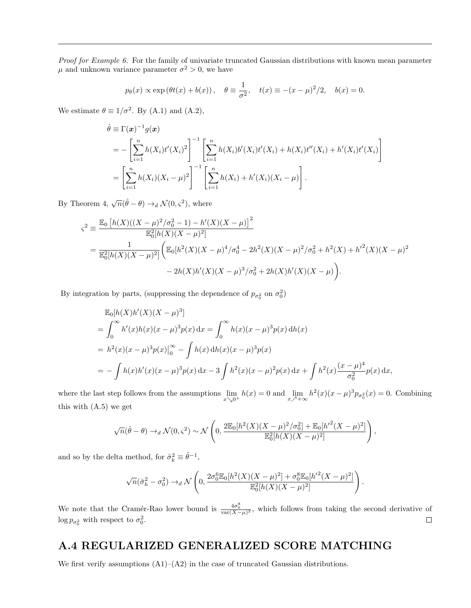Proof for Example 6. For the family of univariate truncated Gaussian distributions with known mean parameter  $\mu$  and unknown variance parameter  $\sigma^2 > 0$ , we have

$$
p_{\theta}(x) \propto \exp(\theta t(x) + b(x)), \quad \theta \equiv \frac{1}{\sigma^2}, \quad t(x) \equiv -(x - \mu)^2/2, \quad b(x) = 0.
$$

We estimate  $\theta \equiv 1/\sigma^2$ . By (A.1) and (A.2),

$$
\hat{\theta} \equiv \Gamma(\boldsymbol{x})^{-1} g(\boldsymbol{x}) \n= -\left[ \sum_{i=1}^{n} h(X_i) t'(X_i)^2 \right]^{-1} \left[ \sum_{i=1}^{n} h(X_i) b'(X_i) t'(X_i) + h(X_i) t''(X_i) + h'(X_i) t'(X_i) \right] \n= \left[ \sum_{i=1}^{n} h(X_i) (X_i - \mu)^2 \right]^{-1} \left[ \sum_{i=1}^{n} h(X_i) + h'(X_i) (X_i - \mu) \right].
$$

By Theorem 4,  $\sqrt{n}(\hat{\theta} - \theta) \rightarrow_d \mathcal{N}(0, \varsigma^2)$ , where

$$
\varsigma^{2} \equiv \frac{\mathbb{E}_{0} \left[ h(X)((X - \mu)^{2}/\sigma_{0}^{2} - 1) - h'(X)(X - \mu) \right]^{2}}{\mathbb{E}_{0}^{2}[h(X)(X - \mu)^{2}]} \n= \frac{1}{\mathbb{E}_{0}^{2}[h(X)(X - \mu)^{2}]} \left( \mathbb{E}_{0}[h^{2}(X)(X - \mu)^{4}/\sigma_{0}^{4} - 2h^{2}(X)(X - \mu)^{2}/\sigma_{0}^{2} + h^{2}(X) + h'^{2}(X)(X - \mu)^{2} \right) \n- 2h(X)h'(X)(X - \mu)^{3}/\sigma_{0}^{2} + 2h(X)h'(X)(X - \mu) \right).
$$

By integration by parts, (suppressing the dependence of  $p_{\sigma_0^2}$  on  $\sigma_0^2$ )

$$
\mathbb{E}_{0}[h(X)h'(X)(X-\mu)^{3}]
$$
\n
$$
= \int_{0}^{\infty} h'(x)h(x)(x-\mu)^{3}p(x) dx = \int_{0}^{\infty} h(x)(x-\mu)^{3}p(x) dh(x)
$$
\n
$$
= h^{2}(x)(x-\mu)^{3}p(x)|_{0}^{\infty} - \int h(x) dh(x)(x-\mu)^{3}p(x)
$$
\n
$$
= -\int h(x)h'(x)(x-\mu)^{3}p(x) dx - 3\int h^{2}(x)(x-\mu)^{2}p(x) dx + \int h^{2}(x)\frac{(x-\mu)^{4}}{\sigma_{0}^{2}}p(x) dx,
$$

where the last step follows from the assumptions  $\lim_{x\searrow 0^+} h(x) = 0$  and  $\lim_{x\nearrow +\infty} h^2(x)(x-\mu)^3 p_{\sigma_0^2}(x) = 0$ . Combining this with (A.5) we get

$$
\sqrt{n}(\hat{\theta}-\theta) \rightarrow_d \mathcal{N}(0,\varsigma^2) \sim \mathcal{N}\left(0, \frac{2\mathbb{E}_0[h^2(X)(X-\mu)^2/\sigma_0^2] + \mathbb{E}_0[h^{\prime 2}(X-\mu)^2]}{\mathbb{E}_0^2[h(X)(X-\mu)^2]}\right),
$$

and so by the delta method, for  $\hat{\sigma}_k^2 \equiv \hat{\theta}^{-1}$ ,

$$
\sqrt{n}(\hat{\sigma}_h^2-\sigma_0^2)\rightarrow_d {\mathcal N}\left(0,\frac{2\sigma_0^6\mathbb{E}_0[h^2(X)(X-\mu)^2]+\sigma_0^8\mathbb{E}_0[h^{\prime 2}(X-\mu)^2]}{\mathbb{E}_0^2[h(X)(X-\mu)^2]}\right).
$$

We note that the Cramér-Rao lower bound is  $\frac{4\sigma_0^8}{var(X-\mu)^2}$ , which follows from taking the second derivative of  $\log p_{\sigma_0^2}$  with respect to  $\sigma_0^2$ .  $\Box$ 

## A.4 REGULARIZED GENERALIZED SCORE MATCHING

We first verify assumptions  $(A1)$ – $(A2)$  in the case of truncated Gaussian distributions.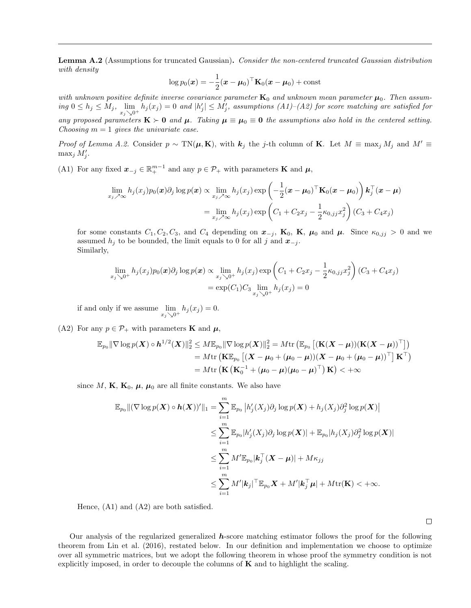Lemma A.2 (Assumptions for truncated Gaussian). Consider the non-centered truncated Gaussian distribution with density

$$
\log p_0(\boldsymbol{x}) = -\frac{1}{2}(\boldsymbol{x} - \boldsymbol{\mu}_0)^\top \mathbf{K}_0(\boldsymbol{x} - \boldsymbol{\mu}_0) + \text{const}
$$

with unknown positive definite inverse covariance parameter  $K_0$  and unknown mean parameter  $\mu_0$ . Then assum- $\inf_{\mathcal{A}} \{f(x_j) \leq \sum_{i=1}^m |b_i(x_j)| = 0\}$  and  $|h'_j| \leq M'_j$ , assumptions  $(A1)$ – $(A2)$  for score matching are satisfied for any proposed parameters  $K \succ 0$  and  $\mu$ . Taking  $\mu \equiv \mu_0 \equiv 0$  the assumptions also hold in the centered setting. Choosing  $m = 1$  gives the univariate case.

*Proof of Lemma A.2.* Consider  $p \sim TN(\mu, K)$ , with  $k_j$  the j-th column of K. Let  $M \equiv \max_j M_j$  and  $M' \equiv$  $\max_j M'_j$ .

(A1) For any fixed  $\mathbf{x}_{-j} \in \mathbb{R}^{m-1}_+$  and any  $p \in \mathcal{P}_+$  with parameters **K** and  $\mu$ ,

$$
\lim_{x_j \nearrow \infty} h_j(x_j) p_0(\boldsymbol{x}) \partial_j \log p(\boldsymbol{x}) \propto \lim_{x_j \nearrow \infty} h_j(x_j) \exp \left(-\frac{1}{2} (\boldsymbol{x} - \boldsymbol{\mu}_0)^\top \mathbf{K}_0 (\boldsymbol{x} - \boldsymbol{\mu}_0) \right) \mathbf{k}_j^\top (\boldsymbol{x} - \boldsymbol{\mu})
$$
\n
$$
= \lim_{x_j \nearrow \infty} h_j(x_j) \exp \left(C_1 + C_2 x_j - \frac{1}{2} \kappa_{0, jj} x_j^2 \right) (C_3 + C_4 x_j)
$$

for some constants  $C_1, C_2, C_3$ , and  $C_4$  depending on  $x_{-j}$ ,  $\mathbf{K}_0$ ,  $\mathbf{K}$ ,  $\boldsymbol{\mu}_0$  and  $\boldsymbol{\mu}$ . Since  $\kappa_{0, jj} > 0$  and we assumed  $h_j$  to be bounded, the limit equals to 0 for all j and  $x_{-j}$ . Similarly,

$$
\lim_{x_j \searrow 0^+} h_j(x_j) p_0(\boldsymbol{x}) \partial_j \log p(\boldsymbol{x}) \propto \lim_{x_j \searrow 0^+} h_j(x_j) \exp \left( C_1 + C_2 x_j - \frac{1}{2} \kappa_{0,jj} x_j^2 \right) (C_3 + C_4 x_j)
$$
  
= 
$$
\exp(C_1) C_3 \lim_{x_j \searrow 0^+} h_j(x_j) = 0
$$

if and only if we assume  $\lim_{x_j \searrow 0^+} h_j(x_j) = 0.$ 

(A2) For any  $p \in \mathcal{P}_+$  with parameters **K** and  $\mu$ ,

$$
\begin{aligned} \mathbb{E}_{p_0} \| \nabla \log p(\boldsymbol{X}) \circ \boldsymbol{h}^{1/2}(\boldsymbol{X}) \|_2^2 & \leq M \mathbb{E}_{p_0} \| \nabla \log p(\boldsymbol{X}) \|_2^2 = M \mathrm{tr} \left( \mathbb{E}_{p_0} \left[ (\mathbf{K}(\boldsymbol{X} - \boldsymbol{\mu})) (\mathbf{K}(\boldsymbol{X} - \boldsymbol{\mu}))^\top \right] \right) \\ & = M \mathrm{tr} \left( \mathbf{K} \mathbb{E}_{p_0} \left[ (\boldsymbol{X} - \boldsymbol{\mu}_0 + (\boldsymbol{\mu}_0 - \boldsymbol{\mu}))( \boldsymbol{X} - \boldsymbol{\mu}_0 + (\boldsymbol{\mu}_0 - \boldsymbol{\mu}))^\top \right] \mathbf{K}^\top \right) \\ & = M \mathrm{tr} \left( \mathbf{K} \left( \mathbf{K}_0^{-1} + (\boldsymbol{\mu}_0 - \boldsymbol{\mu})(\boldsymbol{\mu}_0 - \boldsymbol{\mu})^\top \right) \mathbf{K} \right) < +\infty \end{aligned}
$$

since M, K,  $K_0$ ,  $\mu$ ,  $\mu_0$  are all finite constants. We also have

$$
\mathbb{E}_{p_0} \| (\nabla \log p(\boldsymbol{X}) \circ \boldsymbol{h}(\boldsymbol{X}))' \|_1 = \sum_{i=1}^m \mathbb{E}_{p_0} \left| h'_j(X_j) \partial_j \log p(\boldsymbol{X}) + h_j(X_j) \partial_j^2 \log p(\boldsymbol{X}) \right|
$$
  

$$
\leq \sum_{i=1}^m \mathbb{E}_{p_0} |h'_j(X_j) \partial_j \log p(\boldsymbol{X})| + \mathbb{E}_{p_0} |h_j(X_j) \partial_j^2 \log p(\boldsymbol{X})|
$$
  

$$
\leq \sum_{i=1}^m M' \mathbb{E}_{p_0} |\boldsymbol{k}_j^\top(\boldsymbol{X} - \boldsymbol{\mu})| + M \kappa_{jj}
$$
  

$$
\leq \sum_{i=1}^m M' |\boldsymbol{k}_j|^\top \mathbb{E}_{p_0} \boldsymbol{X} + M' |\boldsymbol{k}_j^\top \boldsymbol{\mu}| + M \text{tr}(\mathbf{K}) < +\infty.
$$

Hence, (A1) and (A2) are both satisfied.

 $\Box$ 

Our analysis of the regularized generalized  $h$ -score matching estimator follows the proof for the following theorem from Lin et al. (2016), restated below. In our definition and implementation we choose to optimize over all symmetric matrices, but we adopt the following theorem in whose proof the symmetry condition is not explicitly imposed, in order to decouple the columns of  $\bf{K}$  and to highlight the scaling.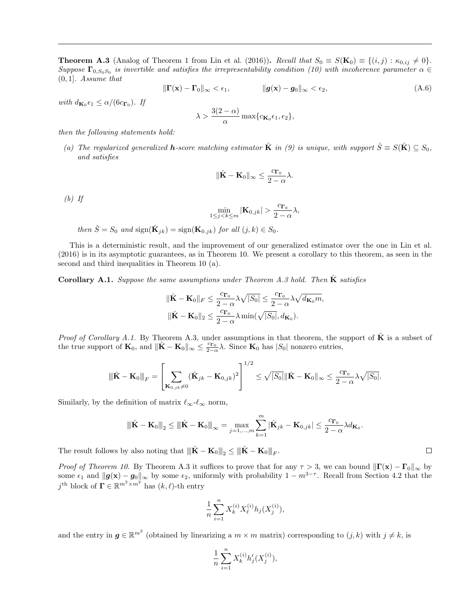**Theorem A.3** (Analog of Theorem 1 from Lin et al. (2016)). Recall that  $S_0 \equiv S(\mathbf{K}_0) \equiv \{(i, j) : \kappa_{0, ij} \neq 0\}$ . Suppose  $\Gamma_{0,S_0S_0}$  is invertible and satisfies the irrepresentability condition (10) with incoherence parameter  $\alpha \in$  $(0, 1]$ . Assume that

$$
\|\mathbf{\Gamma}(\mathbf{x}) - \mathbf{\Gamma}_0\|_{\infty} < \epsilon_1, \qquad \qquad \|\mathbf{g}(\mathbf{x}) - \mathbf{g}_0\|_{\infty} < \epsilon_2,\tag{A.6}
$$

with  $d_{\mathbf{K}_0} \epsilon_1 \leq \alpha/(6c_{\mathbf{\Gamma}_0})$ . If

$$
\lambda > \frac{3(2-\alpha)}{\alpha} \max\{c_{\mathbf{K}_0} \epsilon_1, \epsilon_2\},\
$$

then the following statements hold:

(a) The regularized generalized **h**-score matching estimator  $\hat{\mathbf{K}}$  in (9) is unique, with support  $\hat{S} \equiv S(\hat{\mathbf{K}}) \subseteq S_0$ , and satisfies

$$
\|\hat{\mathbf{K}} - \mathbf{K}_0\|_{\infty} \le \frac{c_{\Gamma_0}}{2 - \alpha} \lambda.
$$

 $(b)$  If

$$
\min_{1 \le j < k \le m} |\mathbf{K}_{0,jk}| > \frac{c_{\mathbf{\Gamma}_0}}{2 - \alpha} \lambda,
$$

then  $\hat{S} = S_0$  and  $sign(\hat{\mathbf{K}}_{jk}) = sign(\mathbf{K}_{0,jk})$  for all  $(j,k) \in S_0$ .

This is a deterministic result, and the improvement of our generalized estimator over the one in Lin et al. (2016) is in its asymptotic guarantees, as in Theorem 10. We present a corollary to this theorem, as seen in the second and third inequalities in Theorem 10 (a).

Corollary A.1. Suppose the same assumptions under Theorem A.3 hold. Then  $\bf{K}$  satisfies

$$
\begin{aligned} & \|\hat{\mathbf{K}} - \mathbf{K}_0\|_F \leq \frac{c_{\Gamma_0}}{2 - \alpha} \lambda \sqrt{|S_0|} \leq \frac{c_{\Gamma_0}}{2 - \alpha} \lambda \sqrt{d_{\mathbf{K}_0} m}, \\ & \|\hat{\mathbf{K}} - \mathbf{K}_0\|_2 \leq \frac{c_{\Gamma_0}}{2 - \alpha} \lambda \min(\sqrt{|S_0|}, d_{\mathbf{K}_0}). \end{aligned}
$$

*Proof of Corollary A.1.* By Theorem A.3, under assumptions in that theorem, the support of  $\hat{\mathbf{K}}$  is a subset of the true support of  $\mathbf{K}_0$ , and  $\|\hat{\mathbf{K}} - \mathbf{K}_0\|_{\infty} \leq \frac{c_{\mathbf{\Gamma}_0}}{2-\alpha}\lambda$ . Since  $\mathbf{K}_0$  has  $|S_0|$  nonzero entries,

$$
\|\hat{\mathbf{K}}-\mathbf{K}_0\|_F = \left[\sum_{\mathbf{K}_{0,jk}\neq 0} (\hat{\mathbf{K}}_{jk}-\mathbf{K}_{0,jk})^2\right]^{1/2} \leq \sqrt{|S_0|} \|\hat{\mathbf{K}}-\mathbf{K}_0\|_{\infty} \leq \frac{c_{\mathbf{\Gamma}_0}}{2-\alpha} \lambda \sqrt{|S_0|}.
$$

Similarly, by the definition of matrix  $\ell_{\infty}$ - $\ell_{\infty}$  norm,

$$
\|\hat{\mathbf{K}} - \mathbf{K}_0\|_2 \le \|\hat{\mathbf{K}} - \mathbf{K}_0\|_{\infty} = \max_{j=1,\dots,m} \sum_{k=1}^m |\hat{\mathbf{K}}_{jk} - \mathbf{K}_{0,jk}| \le \frac{c_{\mathbf{\Gamma}_0}}{2-\alpha} \lambda d_{\mathbf{K}_0}.
$$

 $\Box$ 

The result follows by also noting that  $\|\hat{\mathbf{K}} - \mathbf{K}_0\|_2 \le \|\hat{\mathbf{K}} - \mathbf{K}_0\|_F$ .

*Proof of Theorem 10.* By Theorem A.3 it suffices to prove that for any  $\tau > 3$ , we can bound  $\|\Gamma(\mathbf{x}) - \Gamma_0\|_{\infty}$  by some  $\epsilon_1$  and  $\|\boldsymbol{g}(\mathbf{x}) - \boldsymbol{g}_0\|_{\infty}$  by some  $\epsilon_2$ , uniformly with probability  $1 - m^{3-\tau}$ . Recall from Section 4.2 that the  $j^{\text{th}}$  block of  $\mathbf{\Gamma} \in \mathbb{R}^{m^2 \times m^2}$  has  $(k, \ell)$ -th entry

$$
\frac{1}{n}\sum_{i=1}^n X_k^{(i)} X_\ell^{(i)} h_j(X_j^{(i)}),
$$

and the entry in  $g \in \mathbb{R}^{m^2}$  (obtained by linearizing a  $m \times m$  matrix) corresponding to  $(j, k)$  with  $j \neq k$ , is

$$
\frac{1}{n}\sum_{i=1}^n X_k^{(i)}h'_j(X_j^{(i)}),
$$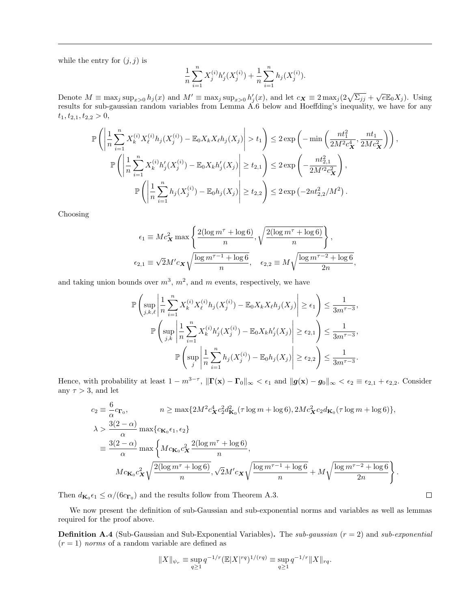while the entry for  $(j, j)$  is

$$
\frac{1}{n}\sum_{i=1}^{n}X_j^{(i)}h'_j(X_j^{(i)}) + \frac{1}{n}\sum_{i=1}^{n}h_j(X_j^{(i)}).
$$

Denote  $M \equiv \max_j \sup_{x>0} h_j(x)$  and  $M' \equiv \max_j \sup_{x>0} h'_j(x)$ , and let  $c_{\mathbf{X}} \equiv 2 \max_j (2\sqrt{\Sigma_{jj}} + \sqrt{e \mathbb{E}_0 X_j})$ . Using results for sub-gaussian random variables from Lemma A.6 below and Hoeffding's inequality, we have for any  $t_1, t_{2,1}, t_{2,2} > 0,$ 

$$
\mathbb{P}\left(\left|\frac{1}{n}\sum_{i=1}^{n}X_{k}^{(i)}X_{\ell}^{(i)}h_{j}(X_{j}^{(i)}) - \mathbb{E}_{0}X_{k}X_{\ell}h_{j}(X_{j})\right| > t_{1}\right) \leq 2\exp\left(-\min\left(\frac{nt_{1}^{2}}{2M^{2}c_{X}^{4}}, \frac{nt_{1}}{2Mc_{X}^{2}}\right)\right),
$$
  

$$
\mathbb{P}\left(\left|\frac{1}{n}\sum_{i=1}^{n}X_{k}^{(i)}h_{j}'(X_{j}^{(i)}) - \mathbb{E}_{0}X_{k}h_{j}'(X_{j})\right| \geq t_{2,1}\right) \leq 2\exp\left(-\frac{nt_{2,1}^{2}}{2M^{2}c_{X}^{2}}\right),
$$
  

$$
\mathbb{P}\left(\left|\frac{1}{n}\sum_{i=1}^{n}h_{j}(X_{j}^{(i)}) - \mathbb{E}_{0}h_{j}(X_{j})\right| \geq t_{2,2}\right) \leq 2\exp\left(-2nt_{2,2}^{2}/M^{2}\right).
$$

Choosing

$$
\epsilon_1 \equiv Mc_X^2 \max \left\{ \frac{2(\log m^\tau + \log 6)}{n}, \sqrt{\frac{2(\log m^\tau + \log 6)}{n}} \right\},
$$
  

$$
\epsilon_{2,1} \equiv \sqrt{2}M'c_X \sqrt{\frac{\log m^{\tau-1} + \log 6}{n}}, \quad \epsilon_{2,2} \equiv M \sqrt{\frac{\log m^{\tau-2} + \log 6}{2n}},
$$

and taking union bounds over  $m^3$ ,  $m^2$ , and m events, respectively, we have

$$
\mathbb{P}\left(\sup_{j,k,\ell} \left| \frac{1}{n} \sum_{i=1}^n X_k^{(i)} X_\ell^{(i)} h_j(X_j^{(i)}) - \mathbb{E}_0 X_k X_\ell h_j(X_j) \right| \geq \epsilon_1 \right) \leq \frac{1}{3m^{\tau-3}},
$$
  

$$
\mathbb{P}\left(\sup_{j,k} \left| \frac{1}{n} \sum_{i=1}^n X_k^{(i)} h'_j(X_j^{(i)}) - \mathbb{E}_0 X_k h'_j(X_j) \right| \geq \epsilon_{2,1} \right) \leq \frac{1}{3m^{\tau-3}},
$$
  

$$
\mathbb{P}\left(\sup_j \left| \frac{1}{n} \sum_{i=1}^n h_j(X_j^{(i)}) - \mathbb{E}_0 h_j(X_j) \right| \geq \epsilon_{2,2} \right) \leq \frac{1}{3m^{\tau-3}}.
$$

Hence, with probability at least  $1 - m^{3-\tau}$ ,  $\|\Gamma(\mathbf{x}) - \Gamma_0\|_{\infty} < \epsilon_1$  and  $\|\boldsymbol{g}(\mathbf{x}) - \boldsymbol{g}_0\|_{\infty} < \epsilon_2 \equiv \epsilon_{2,1} + \epsilon_{2,2}$ . Consider any  $\tau > 3$ , and let

$$
c_2 \equiv \frac{6}{\alpha} c_{\Gamma_0}, \qquad n \ge \max\{2M^2 c_{\mathbf{X}}^4 c_2^2 d_{\mathbf{K}_0}^2(\tau \log m + \log 6), 2Mc_{\mathbf{X}}^2 c_2 d_{\mathbf{K}_0}(\tau \log m + \log 6)\},
$$
  
\n
$$
\lambda > \frac{3(2-\alpha)}{\alpha} \max\left\{c_{\mathbf{K}_0 \epsilon_1, \epsilon_2}\right\}
$$
  
\n
$$
\equiv \frac{3(2-\alpha)}{\alpha} \max\left\{Mc_{\mathbf{K}_0} c_{\mathbf{X}}^2 \frac{2(\log m^{\tau} + \log 6)}{n}, \right.
$$
  
\n
$$
Mc_{\mathbf{K}_0} c_{\mathbf{X}}^2 \sqrt{\frac{2(\log m^{\tau} + \log 6)}{n}}, \sqrt{2}M'c_{\mathbf{X}} \sqrt{\frac{\log m^{\tau-1} + \log 6}{n}} + M\sqrt{\frac{\log m^{\tau-2} + \log 6}{2n}}\right\}.
$$

 $\Box$ 

Then  $d_{\mathbf{K}_0} \epsilon_1 \le \alpha/(6c_{\mathbf{\Gamma}_0})$  and the results follow from Theorem A.3.

We now present the definition of sub-Gaussian and sub-exponential norms and variables as well as lemmas required for the proof above.

**Definition A.4** (Sub-Gaussian and Sub-Exponential Variables). The *sub-qaussian*  $(r = 2)$  and *sub-exponential*  $(r = 1)$  norms of a random variable are defined as

$$
||X||_{\psi_r} \equiv \sup_{q \ge 1} q^{-1/r} (E|X|^{rq})^{1/(rq)} \equiv \sup_{q \ge 1} q^{-1/r} ||X||_{rq}.
$$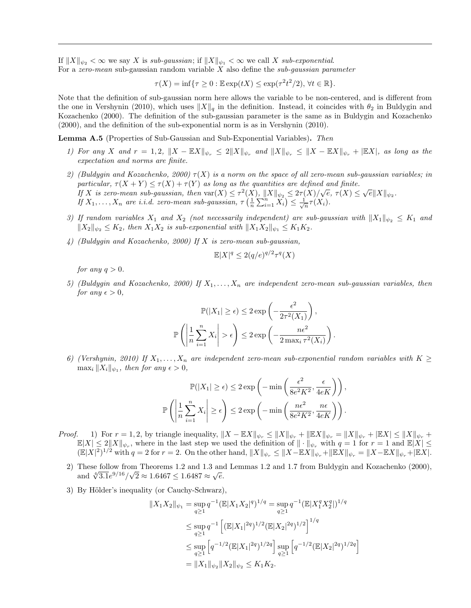If  $||X||_{\psi_2} < \infty$  we say X is sub-gaussian; if  $||X||_{\psi_1} < \infty$  we call X sub-exponential. For a zero-mean sub-gaussian random variable  $X$  also define the sub-gaussian parameter

 $\tau(X) = \inf \{ \tau \geq 0 : \mathbb{E} \exp(tX) \leq \exp(\tau^2 t^2/2), \forall t \in \mathbb{R} \}.$ 

Note that the definition of sub-gaussian norm here allows the variable to be non-centered, and is different from the one in Vershynin (2010), which uses  $||X||_q$  in the definition. Instead, it coincides with  $\theta_2$  in Buldygin and Kozachenko (2000). The definition of the sub-gaussian parameter is the same as in Buldygin and Kozachenko (2000), and the definition of the sub-exponential norm is as in Vershynin (2010).

Lemma A.5 (Properties of Sub-Gaussian and Sub-Exponential Variables). Then

- 1) For any X and  $r = 1, 2$ ,  $||X \mathbb{E}X||_{\psi_r} \leq 2||X||_{\psi_r}$  and  $||X||_{\psi_r} \leq ||X \mathbb{E}X||_{\psi_r} + |\mathbb{E}X|$ , as long as the expectation and norms are finite.
- 2) (Buldygin and Kozachenko, 2000)  $\tau(X)$  is a norm on the space of all zero-mean sub-gaussian variables; in particular,  $\tau(X + Y) \leq \tau(X) + \tau(Y)$  as long as the quantities are defined and finite. particular,  $\tau(X+T) \leq \tau(X) + \tau(T)$  as long as the quantities are defined and finite.<br>If X is zero-mean sub-gaussian, then  $\text{var}(X) \leq \tau^2(X)$ ,  $||X||_{\psi_2} \leq 2\tau(X)/\sqrt{e}$ ,  $\tau(X) \leq \sqrt{e}||X||_{\psi_2}$ . If  $X_1, \ldots, X_n$  are i.i.d. zero-mean sub-gaussian,  $\tau\left(\frac{1}{n}\sum_{i=1}^n X_i\right) \leq \frac{1}{\sqrt{n}} \tau(X_i)$ .
- 3) If random variables  $X_1$  and  $X_2$  (not necessarily independent) are sub-gaussian with  $\|X_1\|_{\psi_2} \le K_1$  and  $||X_2||_{\psi_2} \leq K_2$ , then  $X_1X_2$  is sub-exponential with  $||X_1X_2||_{\psi_1} \leq K_1K_2$ .
- 4) (Buldygin and Kozachenko, 2000) If X is zero-mean sub-gaussian,

$$
\mathbb{E}|X|^q \le 2(q/e)^{q/2}\tau^q(X)
$$

for any  $q > 0$ .

5) (Buldygin and Kozachenko, 2000) If  $X_1, \ldots, X_n$  are independent zero-mean sub-gaussian variables, then for any  $\epsilon > 0$ .

$$
\mathbb{P}(|X_1| \ge \epsilon) \le 2 \exp\left(-\frac{\epsilon^2}{2\tau^2(X_1)}\right),
$$
  

$$
\mathbb{P}\left(\left|\frac{1}{n}\sum_{i=1}^n X_i\right| > \epsilon\right) \le 2 \exp\left(-\frac{n\epsilon^2}{2 \max_i \tau^2(X_i)}\right).
$$

6) (Vershynin, 2010) If  $X_1, \ldots, X_n$  are independent zero-mean sub-exponential random variables with  $K \geq$  $\max_i \|X_i\|_{\psi_1}$ , then for any  $\epsilon > 0$ ,

$$
\mathbb{P}(|X_1| \ge \epsilon) \le 2 \exp\left(-\min\left(\frac{\epsilon^2}{8e^2K^2}, \frac{\epsilon}{4eK}\right)\right),
$$

$$
\mathbb{P}\left(\left|\frac{1}{n}\sum_{i=1}^n X_i\right| \ge \epsilon\right) \le 2 \exp\left(-\min\left(\frac{n\epsilon^2}{8e^2K^2}, \frac{n\epsilon}{4eK}\right)\right).
$$

- *Proof.* 1) For  $r = 1, 2$ , by triangle inequality,  $||X \mathbb{E}X||_{\psi_r} \le ||X||_{\psi_r} + ||\mathbb{E}X||_{\psi_r} = ||X||_{\psi_r} + |\mathbb{E}X| \le ||X||_{\psi_r} +$  $\mathbb{E}|X| \leq 2||X||_{\psi_r}$ , where in the last step we used the definition of  $||\cdot||_{\psi_r}$  with  $q=1$  for  $r=1$  and  $\mathbb{E}|X| \leq$  $(\mathbb{E}|X|^2)^{1/2}$  with  $q = 2$  for  $r = 2$ . On the other hand,  $||X||_{\psi_r} \le ||X - \mathbb{E}X||_{\psi_r} + ||\mathbb{E}X||_{\psi_r} = ||X - \mathbb{E}X||_{\psi_r} + |\mathbb{E}X|.$ 
	- 2) These follow from Theorems 1.2 and 1.3 and Lemmas 1.2 and 1.7 from Buldygin and Kozachenko (2000), These follow from Theorems 1.2 and 1.3 and<br>and  $\sqrt[4]{3.1}e^{9/16}/\sqrt{2} \approx 1.6467 \le 1.6487 \approx \sqrt{e}$ .
	- 3) By Hölder's inequality (or Cauchy-Schwarz),

$$
||X_1X_2||_{\psi_1} = \sup_{q \ge 1} q^{-1} ( \mathbb{E}|X_1X_2|^q )^{1/q} = \sup_{q \ge 1} q^{-1} ( \mathbb{E}|X_1^q X_2^q | )^{1/q}
$$
  
\n
$$
\le \sup_{q \ge 1} q^{-1} \left[ (\mathbb{E}|X_1|^{2q})^{1/2} (\mathbb{E}|X_2|^{2q})^{1/2} \right]^{1/q}
$$
  
\n
$$
\le \sup_{q \ge 1} \left[ q^{-1/2} (\mathbb{E}|X_1|^{2q})^{1/2q} \right] \sup_{q \ge 1} \left[ q^{-1/2} (\mathbb{E}|X_2|^{2q})^{1/2q} \right]
$$
  
\n
$$
= ||X_1||_{\psi_2} ||X_2||_{\psi_2} \le K_1 K_2.
$$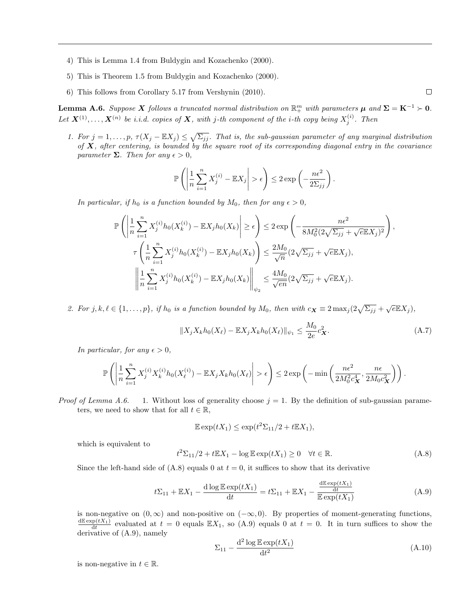- 4) This is Lemma 1.4 from Buldygin and Kozachenko (2000).
- 5) This is Theorem 1.5 from Buldygin and Kozachenko (2000).
- 6) This follows from Corollary 5.17 from Vershynin (2010).

**Lemma A.6.** Suppose X follows a truncated normal distribution on  $\mathbb{R}^m_+$  with parameters  $\mu$  and  $\Sigma = K^{-1} \succ 0$ . Let  $\bm{X}^{(1)}, \ldots, \bm{X}^{(n)}$  be i.i.d. copies of  $\bm{X},$  with j-th component of the i-th copy being  $X_j^{(i)}$ . Then

1. For  $j = 1, \ldots, p$ ,  $\tau(X_j - \mathbb{E}X_j) \leq \sqrt{\sum_{jj}}$ . That is, the sub-gaussian parameter of any marginal distribution of  $X$ , after centering, is bounded by the square root of its corresponding diagonal entry in the covariance parameter  $\Sigma$ . Then for any  $\epsilon > 0$ ,

$$
\mathbb{P}\left(\left|\frac{1}{n}\sum_{i=1}^n X_j^{(i)} - \mathbb{E}X_j\right| > \epsilon\right) \le 2\exp\left(-\frac{n\epsilon^2}{2\Sigma_{jj}}\right).
$$

In particular, if  $h_0$  is a function bounded by  $M_0$ , then for any  $\epsilon > 0$ ,

$$
\mathbb{P}\left(\left|\frac{1}{n}\sum_{i=1}^{n}X_{j}^{(i)}h_{0}(X_{k}^{(i)}) - \mathbb{E}X_{j}h_{0}(X_{k})\right| \geq \epsilon\right) \leq 2\exp\left(-\frac{n\epsilon^{2}}{8M_{0}^{2}(2\sqrt{\Sigma_{jj}} + \sqrt{e}\mathbb{E}X_{j})^{2}}\right),
$$
  

$$
\tau\left(\frac{1}{n}\sum_{i=1}^{n}X_{j}^{(i)}h_{0}(X_{k}^{(i)}) - \mathbb{E}X_{j}h_{0}(X_{k})\right) \leq \frac{2M_{0}}{\sqrt{n}}(2\sqrt{\Sigma_{jj}} + \sqrt{e}\mathbb{E}X_{j}),
$$
  

$$
\left\|\frac{1}{n}\sum_{i=1}^{n}X_{j}^{(i)}h_{0}(X_{k}^{(i)}) - \mathbb{E}X_{j}h_{0}(X_{k})\right\|_{\psi_{2}} \leq \frac{4M_{0}}{\sqrt{en}}(2\sqrt{\Sigma_{jj}} + \sqrt{e}\mathbb{E}X_{j}).
$$

2. For  $j, k, \ell \in \{1, ..., p\}$ , if  $h_0$  is a function bounded by  $M_0$ , then with  $c_{\mathbf{X}} \equiv 2 \max_j \left(2 \sqrt{\Sigma_{jj}} + \sqrt{e \mathbb{E} X_j}\right)$ ,

$$
||X_j X_k h_0(X_\ell) - \mathbb{E} X_j X_k h_0(X_\ell)||_{\psi_1} \le \frac{M_0}{2e} c_X^2.
$$
 (A.7)

 $\Box$ 

In particular, for any  $\epsilon > 0$ ,

$$
\mathbb{P}\left(\left|\frac{1}{n}\sum_{i=1}^n X_j^{(i)} X_k^{(i)} h_0(X_\ell^{(i)}) - \mathbb{E} X_j X_k h_0(X_\ell)\right| > \epsilon\right) \leq 2 \exp\left(-\min\left(\frac{n\epsilon^2}{2M_0^2c_{\mathbf{X}}^4}, \frac{n\epsilon}{2M_0c_{\mathbf{X}}^2}\right)\right).
$$

*Proof of Lemma A.6.* 1. Without loss of generality choose  $j = 1$ . By the definition of sub-gaussian parameters, we need to show that for all  $t \in \mathbb{R}$ ,

$$
\mathbb{E}\exp(tX_1) \le \exp(t^2\Sigma_{11}/2 + t\mathbb{E}X_1),
$$

which is equivalent to

$$
{}^{2}\Sigma_{11}/2 + t\mathbb{E}X_{1} - \log \mathbb{E} \exp(tX_{1}) \ge 0 \quad \forall t \in \mathbb{R}.
$$
 (A.8)

Since the left-hand side of  $(A.8)$  equals 0 at  $t = 0$ , it suffices to show that its derivative

t

$$
t\Sigma_{11} + \mathbb{E}X_1 - \frac{\mathrm{d}\log\mathbb{E}\exp(tX_1)}{\mathrm{d}t} = t\Sigma_{11} + \mathbb{E}X_1 - \frac{\frac{\mathrm{d}\mathbb{E}\exp(tX_1)}{\mathrm{d}t}}{\mathbb{E}\exp(tX_1)}
$$
(A.9)

is non-negative on  $(0, \infty)$  and non-positive on  $(-\infty, 0)$ . By properties of moment-generating functions,  $\frac{d\mathbb{E} \exp(tX_1)}{dt}$  evaluated at  $t = 0$  equals  $\mathbb{E} X_1$ , so  $(A.9)$  equals 0 at  $t = 0$ . It in turn suffices to show the derivative of (A.9), namely

$$
\Sigma_{11} - \frac{\mathrm{d}^2 \log \mathbb{E} \exp(tX_1)}{\mathrm{d}t^2} \tag{A.10}
$$

is non-negative in  $t \in \mathbb{R}$ .